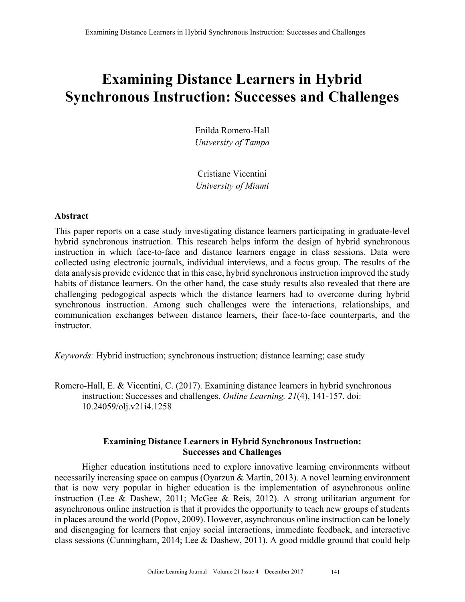# **Examining Distance Learners in Hybrid Synchronous Instruction: Successes and Challenges**

Enilda Romero-Hall *University of Tampa*

Cristiane Vicentini *University of Miami*

## **Abstract**

This paper reports on a case study investigating distance learners participating in graduate-level hybrid synchronous instruction. This research helps inform the design of hybrid synchronous instruction in which face-to-face and distance learners engage in class sessions. Data were collected using electronic journals, individual interviews, and a focus group. The results of the data analysis provide evidence that in this case, hybrid synchronous instruction improved the study habits of distance learners. On the other hand, the case study results also revealed that there are challenging pedogogical aspects which the distance learners had to overcome during hybrid synchronous instruction. Among such challenges were the interactions, relationships, and communication exchanges between distance learners, their face-to-face counterparts, and the instructor.

*Keywords:* Hybrid instruction; synchronous instruction; distance learning; case study

Romero-Hall, E. & Vicentini, C. (2017). Examining distance learners in hybrid synchronous instruction: Successes and challenges. *Online Learning, 21*(4), 141-157. doi: 10.24059/olj.v21i4.1258

# **Examining Distance Learners in Hybrid Synchronous Instruction: Successes and Challenges**

Higher education institutions need to explore innovative learning environments without necessarily increasing space on campus (Oyarzun & Martin, 2013). A novel learning environment that is now very popular in higher education is the implementation of asynchronous online instruction (Lee & Dashew, 2011; McGee & Reis, 2012). A strong utilitarian argument for asynchronous online instruction is that it provides the opportunity to teach new groups of students in places around the world (Popov, 2009). However, asynchronous online instruction can be lonely and disengaging for learners that enjoy social interactions, immediate feedback, and interactive class sessions (Cunningham, 2014; Lee & Dashew, 2011). A good middle ground that could help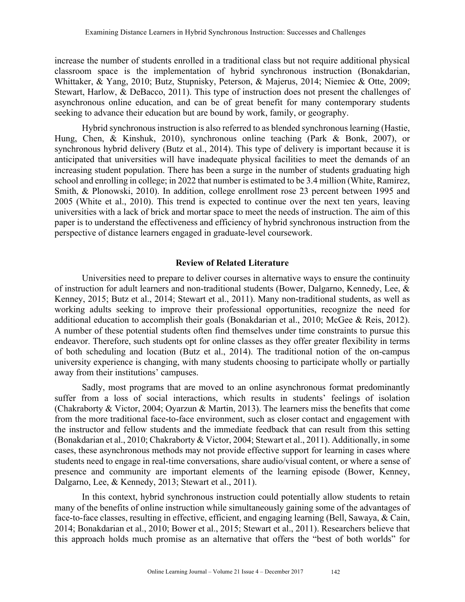increase the number of students enrolled in a traditional class but not require additional physical classroom space is the implementation of hybrid synchronous instruction (Bonakdarian, Whittaker, & Yang, 2010; Butz, Stupnisky, Peterson, & Majerus, 2014; Niemiec & Otte, 2009; Stewart, Harlow, & DeBacco, 2011). This type of instruction does not present the challenges of asynchronous online education, and can be of great benefit for many contemporary students seeking to advance their education but are bound by work, family, or geography.

Hybrid synchronous instruction is also referred to as blended synchronous learning (Hastie, Hung, Chen, & Kinshuk, 2010), synchronous online teaching (Park & Bonk, 2007), or synchronous hybrid delivery (Butz et al., 2014). This type of delivery is important because it is anticipated that universities will have inadequate physical facilities to meet the demands of an increasing student population. There has been a surge in the number of students graduating high school and enrolling in college; in 2022 that number is estimated to be 3.4 million (White, Ramirez, Smith, & Plonowski, 2010). In addition, college enrollment rose 23 percent between 1995 and 2005 (White et al., 2010). This trend is expected to continue over the next ten years, leaving universities with a lack of brick and mortar space to meet the needs of instruction. The aim of this paper is to understand the effectiveness and efficiency of hybrid synchronous instruction from the perspective of distance learners engaged in graduate-level coursework.

## **Review of Related Literature**

Universities need to prepare to deliver courses in alternative ways to ensure the continuity of instruction for adult learners and non-traditional students (Bower, Dalgarno, Kennedy, Lee, & Kenney, 2015; Butz et al., 2014; Stewart et al., 2011). Many non-traditional students, as well as working adults seeking to improve their professional opportunities, recognize the need for additional education to accomplish their goals (Bonakdarian et al., 2010; McGee & Reis, 2012). A number of these potential students often find themselves under time constraints to pursue this endeavor. Therefore, such students opt for online classes as they offer greater flexibility in terms of both scheduling and location (Butz et al., 2014). The traditional notion of the on-campus university experience is changing, with many students choosing to participate wholly or partially away from their institutions' campuses.

Sadly, most programs that are moved to an online asynchronous format predominantly suffer from a loss of social interactions, which results in students' feelings of isolation (Chakraborty & Victor, 2004; Oyarzun & Martin, 2013). The learners miss the benefits that come from the more traditional face-to-face environment, such as closer contact and engagement with the instructor and fellow students and the immediate feedback that can result from this setting (Bonakdarian et al., 2010; Chakraborty & Victor, 2004; Stewart et al., 2011). Additionally, in some cases, these asynchronous methods may not provide effective support for learning in cases where students need to engage in real-time conversations, share audio/visual content, or where a sense of presence and community are important elements of the learning episode (Bower, Kenney, Dalgarno, Lee, & Kennedy, 2013; Stewart et al., 2011).

In this context, hybrid synchronous instruction could potentially allow students to retain many of the benefits of online instruction while simultaneously gaining some of the advantages of face-to-face classes, resulting in effective, efficient, and engaging learning (Bell, Sawaya, & Cain, 2014; Bonakdarian et al., 2010; Bower et al., 2015; Stewart et al., 2011). Researchers believe that this approach holds much promise as an alternative that offers the "best of both worlds" for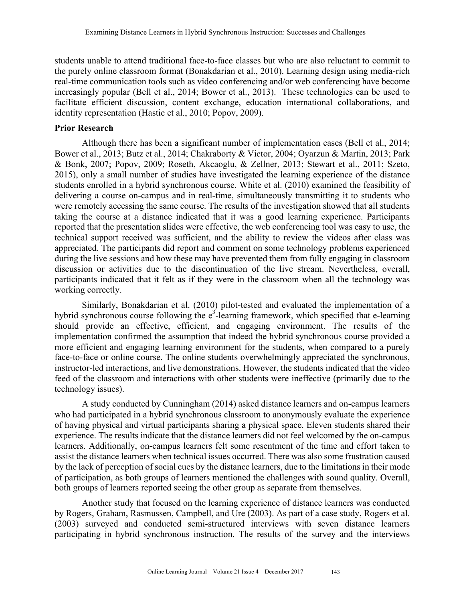students unable to attend traditional face-to-face classes but who are also reluctant to commit to the purely online classroom format (Bonakdarian et al., 2010). Learning design using media-rich real-time communication tools such as video conferencing and/or web conferencing have become increasingly popular (Bell et al., 2014; Bower et al., 2013). These technologies can be used to facilitate efficient discussion, content exchange, education international collaborations, and identity representation (Hastie et al., 2010; Popov, 2009).

#### **Prior Research**

Although there has been a significant number of implementation cases (Bell et al., 2014; Bower et al., 2013; Butz et al., 2014; Chakraborty & Victor, 2004; Oyarzun & Martin, 2013; Park & Bonk, 2007; Popov, 2009; Roseth, Akcaoglu, & Zellner, 2013; Stewart et al., 2011; Szeto, 2015), only a small number of studies have investigated the learning experience of the distance students enrolled in a hybrid synchronous course. White et al. (2010) examined the feasibility of delivering a course on-campus and in real-time, simultaneously transmitting it to students who were remotely accessing the same course. The results of the investigation showed that all students taking the course at a distance indicated that it was a good learning experience. Participants reported that the presentation slides were effective, the web conferencing tool was easy to use, the technical support received was sufficient, and the ability to review the videos after class was appreciated. The participants did report and comment on some technology problems experienced during the live sessions and how these may have prevented them from fully engaging in classroom discussion or activities due to the discontinuation of the live stream. Nevertheless, overall, participants indicated that it felt as if they were in the classroom when all the technology was working correctly.

Similarly, Bonakdarian et al. (2010) pilot-tested and evaluated the implementation of a hybrid synchronous course following the  $e^3$ -learning framework, which specified that e-learning should provide an effective, efficient, and engaging environment. The results of the implementation confirmed the assumption that indeed the hybrid synchronous course provided a more efficient and engaging learning environment for the students, when compared to a purely face-to-face or online course. The online students overwhelmingly appreciated the synchronous, instructor-led interactions, and live demonstrations. However, the students indicated that the video feed of the classroom and interactions with other students were ineffective (primarily due to the technology issues).

A study conducted by Cunningham (2014) asked distance learners and on-campus learners who had participated in a hybrid synchronous classroom to anonymously evaluate the experience of having physical and virtual participants sharing a physical space. Eleven students shared their experience. The results indicate that the distance learners did not feel welcomed by the on-campus learners. Additionally, on-campus learners felt some resentment of the time and effort taken to assist the distance learners when technical issues occurred. There was also some frustration caused by the lack of perception of social cues by the distance learners, due to the limitations in their mode of participation, as both groups of learners mentioned the challenges with sound quality. Overall, both groups of learners reported seeing the other group as separate from themselves.

Another study that focused on the learning experience of distance learners was conducted by Rogers, Graham, Rasmussen, Campbell, and Ure (2003). As part of a case study, Rogers et al. (2003) surveyed and conducted semi-structured interviews with seven distance learners participating in hybrid synchronous instruction. The results of the survey and the interviews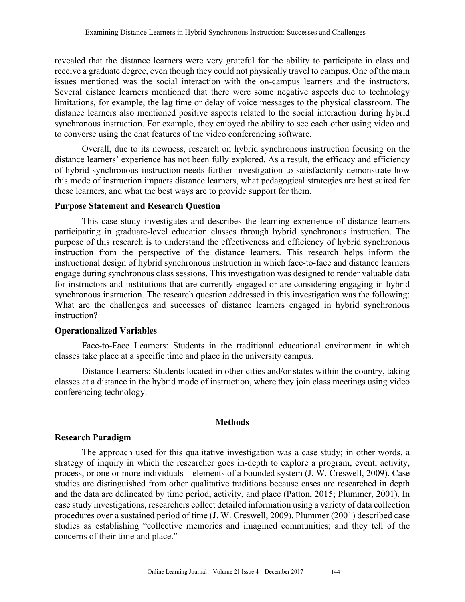revealed that the distance learners were very grateful for the ability to participate in class and receive a graduate degree, even though they could not physically travel to campus. One of the main issues mentioned was the social interaction with the on-campus learners and the instructors. Several distance learners mentioned that there were some negative aspects due to technology limitations, for example, the lag time or delay of voice messages to the physical classroom. The distance learners also mentioned positive aspects related to the social interaction during hybrid synchronous instruction. For example, they enjoyed the ability to see each other using video and to converse using the chat features of the video conferencing software.

Overall, due to its newness, research on hybrid synchronous instruction focusing on the distance learners' experience has not been fully explored. As a result, the efficacy and efficiency of hybrid synchronous instruction needs further investigation to satisfactorily demonstrate how this mode of instruction impacts distance learners, what pedagogical strategies are best suited for these learners, and what the best ways are to provide support for them.

## **Purpose Statement and Research Question**

This case study investigates and describes the learning experience of distance learners participating in graduate-level education classes through hybrid synchronous instruction. The purpose of this research is to understand the effectiveness and efficiency of hybrid synchronous instruction from the perspective of the distance learners. This research helps inform the instructional design of hybrid synchronous instruction in which face-to-face and distance learners engage during synchronous class sessions. This investigation was designed to render valuable data for instructors and institutions that are currently engaged or are considering engaging in hybrid synchronous instruction. The research question addressed in this investigation was the following: What are the challenges and successes of distance learners engaged in hybrid synchronous instruction?

## **Operationalized Variables**

Face-to-Face Learners: Students in the traditional educational environment in which classes take place at a specific time and place in the university campus.

Distance Learners: Students located in other cities and/or states within the country, taking classes at a distance in the hybrid mode of instruction, where they join class meetings using video conferencing technology.

## **Methods**

## **Research Paradigm**

The approach used for this qualitative investigation was a case study; in other words, a strategy of inquiry in which the researcher goes in-depth to explore a program, event, activity, process, or one or more individuals—elements of a bounded system (J. W. Creswell, 2009). Case studies are distinguished from other qualitative traditions because cases are researched in depth and the data are delineated by time period, activity, and place (Patton, 2015; Plummer, 2001). In case study investigations, researchers collect detailed information using a variety of data collection procedures over a sustained period of time (J. W. Creswell, 2009). Plummer (2001) described case studies as establishing "collective memories and imagined communities; and they tell of the concerns of their time and place."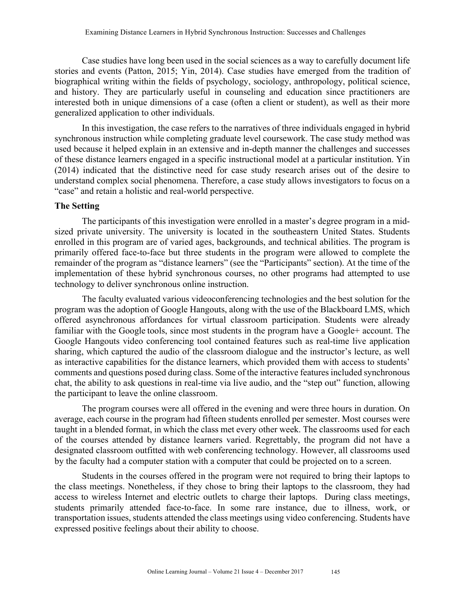Case studies have long been used in the social sciences as a way to carefully document life stories and events (Patton, 2015; Yin, 2014). Case studies have emerged from the tradition of biographical writing within the fields of psychology, sociology, anthropology, political science, and history. They are particularly useful in counseling and education since practitioners are interested both in unique dimensions of a case (often a client or student), as well as their more generalized application to other individuals.

In this investigation, the case refers to the narratives of three individuals engaged in hybrid synchronous instruction while completing graduate level coursework. The case study method was used because it helped explain in an extensive and in-depth manner the challenges and successes of these distance learners engaged in a specific instructional model at a particular institution. Yin (2014) indicated that the distinctive need for case study research arises out of the desire to understand complex social phenomena. Therefore, a case study allows investigators to focus on a "case" and retain a holistic and real-world perspective.

## **The Setting**

The participants of this investigation were enrolled in a master's degree program in a midsized private university. The university is located in the southeastern United States. Students enrolled in this program are of varied ages, backgrounds, and technical abilities. The program is primarily offered face-to-face but three students in the program were allowed to complete the remainder of the program as "distance learners" (see the "Participants" section). At the time of the implementation of these hybrid synchronous courses, no other programs had attempted to use technology to deliver synchronous online instruction.

The faculty evaluated various videoconferencing technologies and the best solution for the program was the adoption of Google Hangouts, along with the use of the Blackboard LMS, which offered asynchronous affordances for virtual classroom participation. Students were already familiar with the Google tools, since most students in the program have a Google+ account. The Google Hangouts video conferencing tool contained features such as real-time live application sharing, which captured the audio of the classroom dialogue and the instructor's lecture, as well as interactive capabilities for the distance learners, which provided them with access to students' comments and questions posed during class. Some of the interactive features included synchronous chat, the ability to ask questions in real-time via live audio, and the "step out" function, allowing the participant to leave the online classroom.

The program courses were all offered in the evening and were three hours in duration. On average, each course in the program had fifteen students enrolled per semester. Most courses were taught in a blended format, in which the class met every other week. The classrooms used for each of the courses attended by distance learners varied. Regrettably, the program did not have a designated classroom outfitted with web conferencing technology. However, all classrooms used by the faculty had a computer station with a computer that could be projected on to a screen.

Students in the courses offered in the program were not required to bring their laptops to the class meetings. Nonetheless, if they chose to bring their laptops to the classroom, they had access to wireless Internet and electric outlets to charge their laptops. During class meetings, students primarily attended face-to-face. In some rare instance, due to illness, work, or transportation issues, students attended the class meetings using video conferencing. Students have expressed positive feelings about their ability to choose.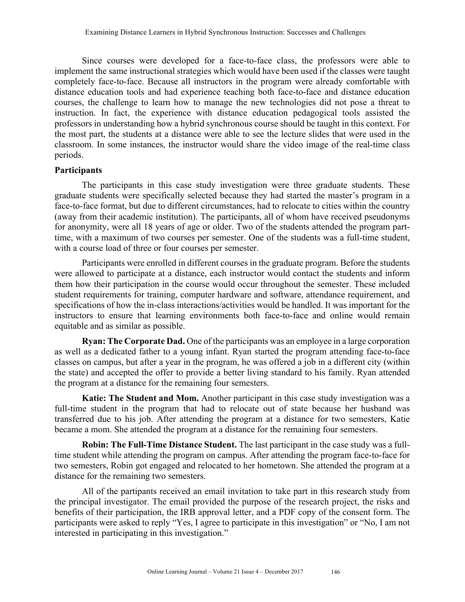Since courses were developed for a face-to-face class, the professors were able to implement the same instructional strategies which would have been used if the classes were taught completely face-to-face. Because all instructors in the program were already comfortable with distance education tools and had experience teaching both face-to-face and distance education courses, the challenge to learn how to manage the new technologies did not pose a threat to instruction. In fact, the experience with distance education pedagogical tools assisted the professors in understanding how a hybrid synchronous course should be taught in this context. For the most part, the students at a distance were able to see the lecture slides that were used in the classroom. In some instances, the instructor would share the video image of the real-time class periods.

## **Participants**

The participants in this case study investigation were three graduate students. These graduate students were specifically selected because they had started the master's program in a face-to-face format, but due to different circumstances, had to relocate to cities within the country (away from their academic institution). The participants, all of whom have received pseudonyms for anonymity, were all 18 years of age or older. Two of the students attended the program parttime, with a maximum of two courses per semester. One of the students was a full-time student, with a course load of three or four courses per semester.

Participants were enrolled in different courses in the graduate program. Before the students were allowed to participate at a distance, each instructor would contact the students and inform them how their participation in the course would occur throughout the semester. These included student requirements for training, computer hardware and software, attendance requirement, and specifications of how the in-class interactions/activities would be handled. It was important for the instructors to ensure that learning environments both face-to-face and online would remain equitable and as similar as possible.

**Ryan: The Corporate Dad.** One of the participants was an employee in a large corporation as well as a dedicated father to a young infant. Ryan started the program attending face-to-face classes on campus, but after a year in the program, he was offered a job in a different city (within the state) and accepted the offer to provide a better living standard to his family. Ryan attended the program at a distance for the remaining four semesters.

**Katie: The Student and Mom.** Another participant in this case study investigation was a full-time student in the program that had to relocate out of state because her husband was transferred due to his job. After attending the program at a distance for two semesters, Katie became a mom. She attended the program at a distance for the remaining four semesters.

**Robin: The Full-Time Distance Student.** The last participant in the case study was a fulltime student while attending the program on campus. After attending the program face-to-face for two semesters, Robin got engaged and relocated to her hometown. She attended the program at a distance for the remaining two semesters.

All of the partipants received an email invitation to take part in this research study from the principal investigator. The email provided the purpose of the research project, the risks and benefits of their participation, the IRB approval letter, and a PDF copy of the consent form. The participants were asked to reply "Yes, I agree to participate in this investigation" or "No, I am not interested in participating in this investigation."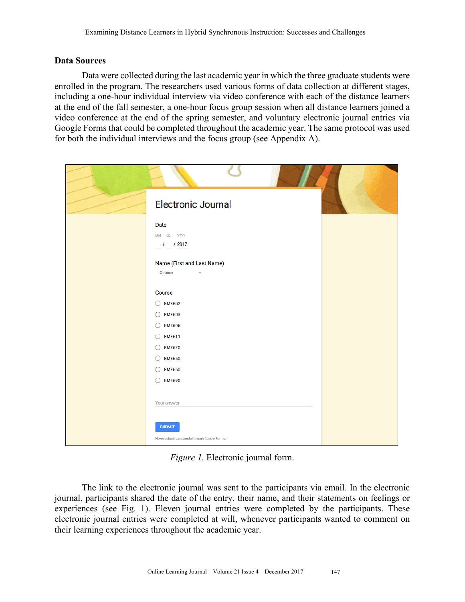## **Data Sources**

Data were collected during the last academic year in which the three graduate students were enrolled in the program. The researchers used various forms of data collection at different stages, including a one-hour individual interview via video conference with each of the distance learners at the end of the fall semester, a one-hour focus group session when all distance learners joined a video conference at the end of the spring semester, and voluntary electronic journal entries via Google Forms that could be completed throughout the academic year. The same protocol was used for both the individual interviews and the focus group (see Appendix A).

| Electronic Journal                                            |  |
|---------------------------------------------------------------|--|
| Date                                                          |  |
| MM DD YYYY                                                    |  |
| $/$ / 2017                                                    |  |
|                                                               |  |
| Name (First and Last Name)<br>Choose                          |  |
|                                                               |  |
| Course                                                        |  |
| $\bigcirc$ EME602                                             |  |
| $O$ EME603                                                    |  |
| $\bigcirc$ EME606                                             |  |
| <b>EME611</b><br>$\left( \right)$                             |  |
| $O$ EME620                                                    |  |
| $O$ EME650                                                    |  |
| $O$ EME660                                                    |  |
| $O$ EME690                                                    |  |
|                                                               |  |
| Your answer                                                   |  |
| <b>SUBMIT</b><br>Never submit passwords through Google Forms. |  |

*Figure 1.* Electronic journal form.

The link to the electronic journal was sent to the participants via email. In the electronic journal, participants shared the date of the entry, their name, and their statements on feelings or experiences (see Fig. 1). Eleven journal entries were completed by the participants. These electronic journal entries were completed at will, whenever participants wanted to comment on their learning experiences throughout the academic year.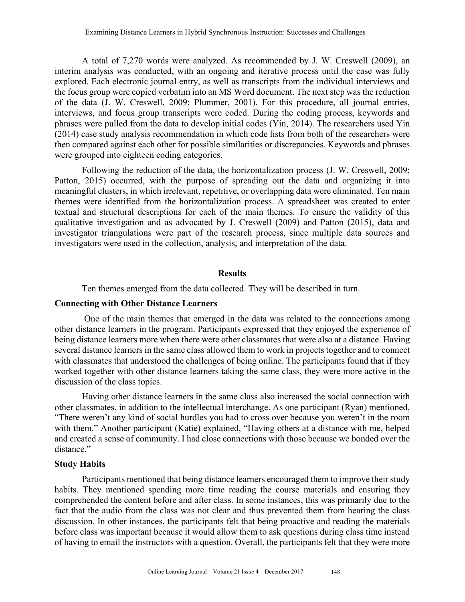A total of 7,270 words were analyzed. As recommended by J. W. Creswell (2009), an interim analysis was conducted, with an ongoing and iterative process until the case was fully explored. Each electronic journal entry, as well as transcripts from the individual interviews and the focus group were copied verbatim into an MS Word document. The next step was the reduction of the data (J. W. Creswell, 2009; Plummer, 2001). For this procedure, all journal entries, interviews, and focus group transcripts were coded. During the coding process, keywords and phrases were pulled from the data to develop initial codes (Yin, 2014). The researchers used Yin (2014) case study analysis recommendation in which code lists from both of the researchers were then compared against each other for possible similarities or discrepancies. Keywords and phrases were grouped into eighteen coding categories.

Following the reduction of the data, the horizontalization process (J. W. Creswell, 2009; Patton, 2015) occurred, with the purpose of spreading out the data and organizing it into meaningful clusters, in which irrelevant, repetitive, or overlapping data were eliminated. Ten main themes were identified from the horizontalization process. A spreadsheet was created to enter textual and structural descriptions for each of the main themes. To ensure the validity of this qualitative investigation and as advocated by J. Creswell (2009) and Patton (2015), data and investigator triangulations were part of the research process, since multiple data sources and investigators were used in the collection, analysis, and interpretation of the data.

## **Results**

Ten themes emerged from the data collected. They will be described in turn.

## **Connecting with Other Distance Learners**

One of the main themes that emerged in the data was related to the connections among other distance learners in the program. Participants expressed that they enjoyed the experience of being distance learners more when there were other classmates that were also at a distance. Having several distance learners in the same class allowed them to work in projects together and to connect with classmates that understood the challenges of being online. The participants found that if they worked together with other distance learners taking the same class, they were more active in the discussion of the class topics.

Having other distance learners in the same class also increased the social connection with other classmates, in addition to the intellectual interchange. As one participant (Ryan) mentioned, "There weren't any kind of social hurdles you had to cross over because you weren't in the room with them." Another participant (Katie) explained, "Having others at a distance with me, helped and created a sense of community. I had close connections with those because we bonded over the distance"

## **Study Habits**

Participants mentioned that being distance learners encouraged them to improve their study habits. They mentioned spending more time reading the course materials and ensuring they comprehended the content before and after class. In some instances, this was primarily due to the fact that the audio from the class was not clear and thus prevented them from hearing the class discussion. In other instances, the participants felt that being proactive and reading the materials before class was important because it would allow them to ask questions during class time instead of having to email the instructors with a question. Overall, the participants felt that they were more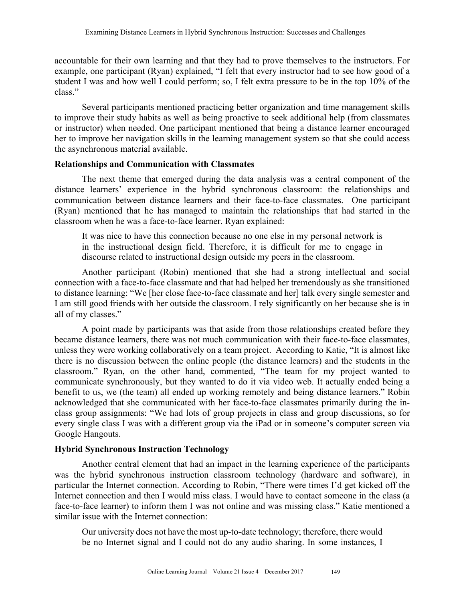accountable for their own learning and that they had to prove themselves to the instructors. For example, one participant (Ryan) explained, "I felt that every instructor had to see how good of a student I was and how well I could perform; so, I felt extra pressure to be in the top 10% of the class."

Several participants mentioned practicing better organization and time management skills to improve their study habits as well as being proactive to seek additional help (from classmates or instructor) when needed. One participant mentioned that being a distance learner encouraged her to improve her navigation skills in the learning management system so that she could access the asynchronous material available.

## **Relationships and Communication with Classmates**

The next theme that emerged during the data analysis was a central component of the distance learners' experience in the hybrid synchronous classroom: the relationships and communication between distance learners and their face-to-face classmates. One participant (Ryan) mentioned that he has managed to maintain the relationships that had started in the classroom when he was a face-to-face learner. Ryan explained:

It was nice to have this connection because no one else in my personal network is in the instructional design field. Therefore, it is difficult for me to engage in discourse related to instructional design outside my peers in the classroom.

Another participant (Robin) mentioned that she had a strong intellectual and social connection with a face-to-face classmate and that had helped her tremendously as she transitioned to distance learning: "We [her close face-to-face classmate and her] talk every single semester and I am still good friends with her outside the classroom. I rely significantly on her because she is in all of my classes."

A point made by participants was that aside from those relationships created before they became distance learners, there was not much communication with their face-to-face classmates, unless they were working collaboratively on a team project. According to Katie, "It is almost like there is no discussion between the online people (the distance learners) and the students in the classroom." Ryan, on the other hand, commented, "The team for my project wanted to communicate synchronously, but they wanted to do it via video web. It actually ended being a benefit to us, we (the team) all ended up working remotely and being distance learners." Robin acknowledged that she communicated with her face-to-face classmates primarily during the inclass group assignments: "We had lots of group projects in class and group discussions, so for every single class I was with a different group via the iPad or in someone's computer screen via Google Hangouts.

# **Hybrid Synchronous Instruction Technology**

Another central element that had an impact in the learning experience of the participants was the hybrid synchronous instruction classroom technology (hardware and software), in particular the Internet connection. According to Robin, "There were times I'd get kicked off the Internet connection and then I would miss class. I would have to contact someone in the class (a face-to-face learner) to inform them I was not online and was missing class." Katie mentioned a similar issue with the Internet connection:

Our university does not have the most up-to-date technology; therefore, there would be no Internet signal and I could not do any audio sharing. In some instances, I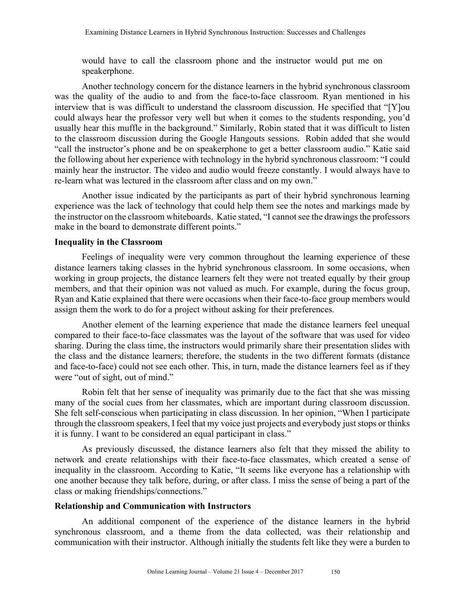would have to call the classroom phone and the instructor would put me on speakerphone.

Another technology concern for the distance learners in the hybrid synchronous classroom was the quality of the audio to and from the face-to-face classroom. Ryan mentioned in his interview that is was difficult to understand the classroom discussion. He specified that "[Y]ou could always hear the professor very well but when it comes to the students responding, you'd usually hear this muffle in the background." Similarly, Robin stated that it was difficult to listen to the classroom discussion during the Google Hangouts sessions. Robin added that she would "call the instructor's phone and be on speakerphone to get a better classroom audio." Katie said the following about her experience with technology in the hybrid synchronous classroom: "I could mainly hear the instructor. The video and audio would freeze constantly. I would always have to re-learn what was lectured in the classroom after class and on my own."

Another issue indicated by the participants as part of their hybrid synchronous learning experience was the lack of technology that could help them see the notes and markings made by the instructor on the classroom whiteboards. Katie stated, "I cannot see the drawings the professors make in the board to demonstrate different points."

## **Inequality in the Classroom**

Feelings of inequality were very common throughout the learning experience of these distance learners taking classes in the hybrid synchronous classroom. In some occasions, when working in group projects, the distance learners felt they were not treated equally by their group members, and that their opinion was not valued as much. For example, during the focus group, Ryan and Katie explained that there were occasions when their face-to-face group members would assign them the work to do for a project without asking for their preferences.

Another element of the learning experience that made the distance learners feel unequal compared to their face-to-face classmates was the layout of the software that was used for video sharing. During the class time, the instructors would primarily share their presentation slides with the class and the distance learners; therefore, the students in the two different formats (distance and face-to-face) could not see each other. This, in turn, made the distance learners feel as if they were "out of sight, out of mind."

Robin felt that her sense of inequality was primarily due to the fact that she was missing many of the social cues from her classmates, which are important during classroom discussion. She felt self-conscious when participating in class discussion. In her opinion, "When I participate through the classroom speakers, I feel that my voice just projects and everybody just stops or thinks it is funny. I want to be considered an equal participant in class."

As previously discussed, the distance learners also felt that they missed the ability to network and create relationships with their face-to-face classmates, which created a sense of inequality in the classroom. According to Katie, "It seems like everyone has a relationship with one another because they talk before, during, or after class. I miss the sense of being a part of the class or making friendships/connections."

## **Relationship and Communication with Instructors**

An additional component of the experience of the distance learners in the hybrid synchronous classroom, and a theme from the data collected, was their relationship and communication with their instructor. Although initially the students felt like they were a burden to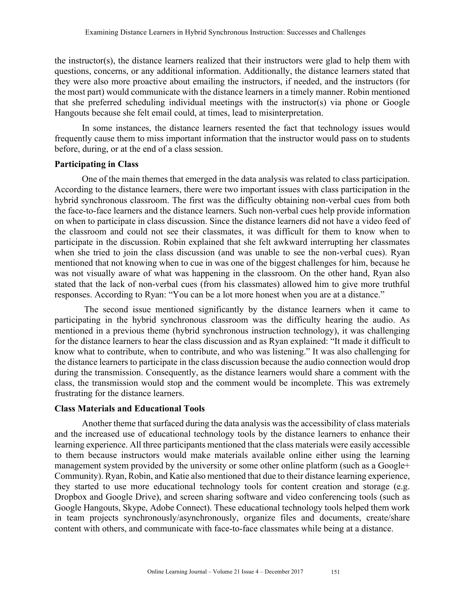the instructor(s), the distance learners realized that their instructors were glad to help them with questions, concerns, or any additional information. Additionally, the distance learners stated that they were also more proactive about emailing the instructors, if needed, and the instructors (for the most part) would communicate with the distance learners in a timely manner. Robin mentioned that she preferred scheduling individual meetings with the instructor(s) via phone or Google Hangouts because she felt email could, at times, lead to misinterpretation.

In some instances, the distance learners resented the fact that technology issues would frequently cause them to miss important information that the instructor would pass on to students before, during, or at the end of a class session.

#### **Participating in Class**

One of the main themes that emerged in the data analysis was related to class participation. According to the distance learners, there were two important issues with class participation in the hybrid synchronous classroom. The first was the difficulty obtaining non-verbal cues from both the face-to-face learners and the distance learners. Such non-verbal cues help provide information on when to participate in class discussion. Since the distance learners did not have a video feed of the classroom and could not see their classmates, it was difficult for them to know when to participate in the discussion. Robin explained that she felt awkward interrupting her classmates when she tried to join the class discussion (and was unable to see the non-verbal cues). Ryan mentioned that not knowing when to cue in was one of the biggest challenges for him, because he was not visually aware of what was happening in the classroom. On the other hand, Ryan also stated that the lack of non-verbal cues (from his classmates) allowed him to give more truthful responses. According to Ryan: "You can be a lot more honest when you are at a distance."

The second issue mentioned significantly by the distance learners when it came to participating in the hybrid synchronous classroom was the difficulty hearing the audio. As mentioned in a previous theme (hybrid synchronous instruction technology), it was challenging for the distance learners to hear the class discussion and as Ryan explained: "It made it difficult to know what to contribute, when to contribute, and who was listening." It was also challenging for the distance learners to participate in the class discussion because the audio connection would drop during the transmission. Consequently, as the distance learners would share a comment with the class, the transmission would stop and the comment would be incomplete. This was extremely frustrating for the distance learners.

#### **Class Materials and Educational Tools**

Another theme that surfaced during the data analysis was the accessibility of class materials and the increased use of educational technology tools by the distance learners to enhance their learning experience. All three participants mentioned that the class materials were easily accessible to them because instructors would make materials available online either using the learning management system provided by the university or some other online platform (such as a Google+ Community). Ryan, Robin, and Katie also mentioned that due to their distance learning experience, they started to use more educational technology tools for content creation and storage (e.g. Dropbox and Google Drive), and screen sharing software and video conferencing tools (such as Google Hangouts, Skype, Adobe Connect). These educational technology tools helped them work in team projects synchronously/asynchronously, organize files and documents, create/share content with others, and communicate with face-to-face classmates while being at a distance.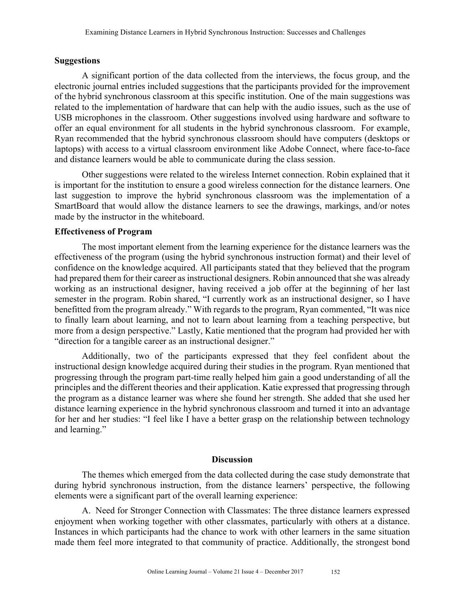## **Suggestions**

A significant portion of the data collected from the interviews, the focus group, and the electronic journal entries included suggestions that the participants provided for the improvement of the hybrid synchronous classroom at this specific institution. One of the main suggestions was related to the implementation of hardware that can help with the audio issues, such as the use of USB microphones in the classroom. Other suggestions involved using hardware and software to offer an equal environment for all students in the hybrid synchronous classroom. For example, Ryan recommended that the hybrid synchronous classroom should have computers (desktops or laptops) with access to a virtual classroom environment like Adobe Connect, where face-to-face and distance learners would be able to communicate during the class session.

Other suggestions were related to the wireless Internet connection. Robin explained that it is important for the institution to ensure a good wireless connection for the distance learners. One last suggestion to improve the hybrid synchronous classroom was the implementation of a SmartBoard that would allow the distance learners to see the drawings, markings, and/or notes made by the instructor in the whiteboard.

## **Effectiveness of Program**

The most important element from the learning experience for the distance learners was the effectiveness of the program (using the hybrid synchronous instruction format) and their level of confidence on the knowledge acquired. All participants stated that they believed that the program had prepared them for their career as instructional designers. Robin announced that she was already working as an instructional designer, having received a job offer at the beginning of her last semester in the program. Robin shared, "I currently work as an instructional designer, so I have benefitted from the program already." With regards to the program, Ryan commented, "It was nice to finally learn about learning, and not to learn about learning from a teaching perspective, but more from a design perspective." Lastly, Katie mentioned that the program had provided her with "direction for a tangible career as an instructional designer."

Additionally, two of the participants expressed that they feel confident about the instructional design knowledge acquired during their studies in the program. Ryan mentioned that progressing through the program part-time really helped him gain a good understanding of all the principles and the different theories and their application. Katie expressed that progressing through the program as a distance learner was where she found her strength. She added that she used her distance learning experience in the hybrid synchronous classroom and turned it into an advantage for her and her studies: "I feel like I have a better grasp on the relationship between technology and learning."

#### **Discussion**

The themes which emerged from the data collected during the case study demonstrate that during hybrid synchronous instruction, from the distance learners' perspective, the following elements were a significant part of the overall learning experience:

A. Need for Stronger Connection with Classmates: The three distance learners expressed enjoyment when working together with other classmates, particularly with others at a distance. Instances in which participants had the chance to work with other learners in the same situation made them feel more integrated to that community of practice. Additionally, the strongest bond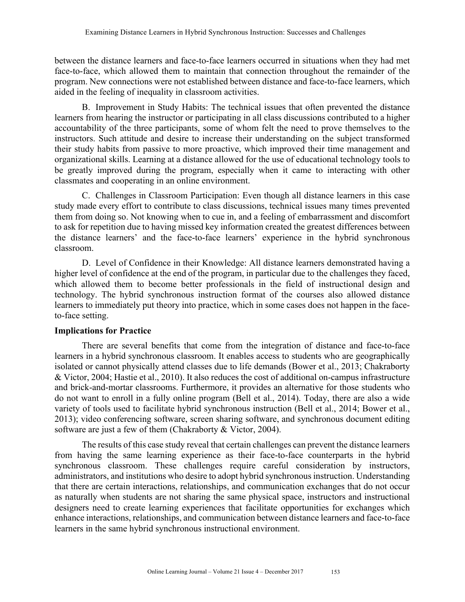between the distance learners and face-to-face learners occurred in situations when they had met face-to-face, which allowed them to maintain that connection throughout the remainder of the program. New connections were not established between distance and face-to-face learners, which aided in the feeling of inequality in classroom activities.

B. Improvement in Study Habits: The technical issues that often prevented the distance learners from hearing the instructor or participating in all class discussions contributed to a higher accountability of the three participants, some of whom felt the need to prove themselves to the instructors. Such attitude and desire to increase their understanding on the subject transformed their study habits from passive to more proactive, which improved their time management and organizational skills. Learning at a distance allowed for the use of educational technology tools to be greatly improved during the program, especially when it came to interacting with other classmates and cooperating in an online environment.

C. Challenges in Classroom Participation: Even though all distance learners in this case study made every effort to contribute to class discussions, technical issues many times prevented them from doing so. Not knowing when to cue in, and a feeling of embarrassment and discomfort to ask for repetition due to having missed key information created the greatest differences between the distance learners' and the face-to-face learners' experience in the hybrid synchronous classroom.

D. Level of Confidence in their Knowledge: All distance learners demonstrated having a higher level of confidence at the end of the program, in particular due to the challenges they faced, which allowed them to become better professionals in the field of instructional design and technology. The hybrid synchronous instruction format of the courses also allowed distance learners to immediately put theory into practice, which in some cases does not happen in the faceto-face setting.

# **Implications for Practice**

There are several benefits that come from the integration of distance and face-to-face learners in a hybrid synchronous classroom. It enables access to students who are geographically isolated or cannot physically attend classes due to life demands (Bower et al., 2013; Chakraborty & Victor, 2004; Hastie et al., 2010). It also reduces the cost of additional on-campus infrastructure and brick-and-mortar classrooms. Furthermore, it provides an alternative for those students who do not want to enroll in a fully online program (Bell et al., 2014). Today, there are also a wide variety of tools used to facilitate hybrid synchronous instruction (Bell et al., 2014; Bower et al., 2013); video conferencing software, screen sharing software, and synchronous document editing software are just a few of them (Chakraborty & Victor, 2004).

The results of this case study reveal that certain challenges can prevent the distance learners from having the same learning experience as their face-to-face counterparts in the hybrid synchronous classroom. These challenges require careful consideration by instructors, administrators, and institutions who desire to adopt hybrid synchronous instruction. Understanding that there are certain interactions, relationships, and communication exchanges that do not occur as naturally when students are not sharing the same physical space, instructors and instructional designers need to create learning experiences that facilitate opportunities for exchanges which enhance interactions, relationships, and communication between distance learners and face-to-face learners in the same hybrid synchronous instructional environment.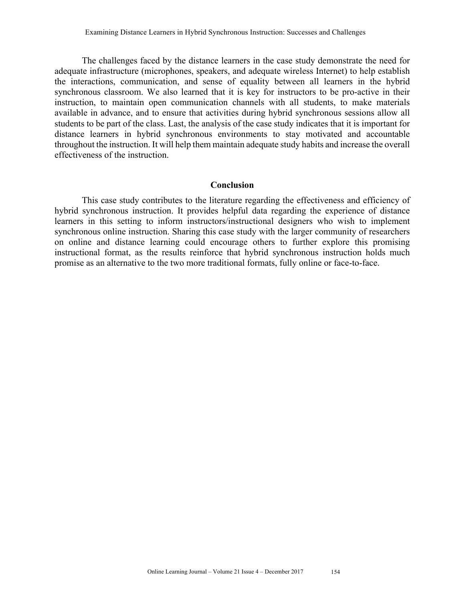The challenges faced by the distance learners in the case study demonstrate the need for adequate infrastructure (microphones, speakers, and adequate wireless Internet) to help establish the interactions, communication, and sense of equality between all learners in the hybrid synchronous classroom. We also learned that it is key for instructors to be pro-active in their instruction, to maintain open communication channels with all students, to make materials available in advance, and to ensure that activities during hybrid synchronous sessions allow all students to be part of the class. Last, the analysis of the case study indicates that it is important for distance learners in hybrid synchronous environments to stay motivated and accountable throughout the instruction. It will help them maintain adequate study habits and increase the overall effectiveness of the instruction.

#### **Conclusion**

This case study contributes to the literature regarding the effectiveness and efficiency of hybrid synchronous instruction. It provides helpful data regarding the experience of distance learners in this setting to inform instructors/instructional designers who wish to implement synchronous online instruction. Sharing this case study with the larger community of researchers on online and distance learning could encourage others to further explore this promising instructional format, as the results reinforce that hybrid synchronous instruction holds much promise as an alternative to the two more traditional formats, fully online or face-to-face.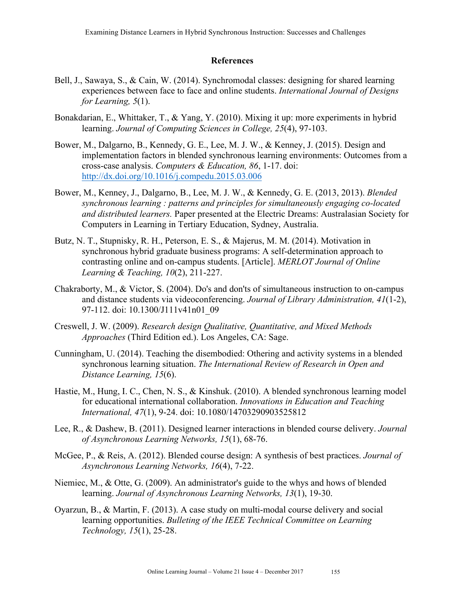## **References**

- Bell, J., Sawaya, S., & Cain, W. (2014). Synchromodal classes: designing for shared learning experiences between face to face and online students. *International Journal of Designs for Learning, 5*(1).
- Bonakdarian, E., Whittaker, T., & Yang, Y. (2010). Mixing it up: more experiments in hybrid learning. *Journal of Computing Sciences in College, 25*(4), 97-103.
- Bower, M., Dalgarno, B., Kennedy, G. E., Lee, M. J. W., & Kenney, J. (2015). Design and implementation factors in blended synchronous learning environments: Outcomes from a cross-case analysis. *Computers & Education, 86*, 1-17. doi: http://dx.doi.org/10.1016/j.compedu.2015.03.006
- Bower, M., Kenney, J., Dalgarno, B., Lee, M. J. W., & Kennedy, G. E. (2013, 2013). *Blended synchronous learning : patterns and principles for simultaneously engaging co-located and distributed learners.* Paper presented at the Electric Dreams: Australasian Society for Computers in Learning in Tertiary Education, Sydney, Australia.
- Butz, N. T., Stupnisky, R. H., Peterson, E. S., & Majerus, M. M. (2014). Motivation in synchronous hybrid graduate business programs: A self-determination approach to contrasting online and on-campus students. [Article]. *MERLOT Journal of Online Learning & Teaching, 10*(2), 211-227.
- Chakraborty, M., & Victor, S. (2004). Do's and don'ts of simultaneous instruction to on-campus and distance students via videoconferencing. *Journal of Library Administration, 41*(1-2), 97-112. doi: 10.1300/J111v41n01\_09
- Creswell, J. W. (2009). *Research design Qualitative, Quantitative, and Mixed Methods Approaches* (Third Edition ed.). Los Angeles, CA: Sage.
- Cunningham, U. (2014). Teaching the disembodied: Othering and activity systems in a blended synchronous learning situation. *The International Review of Research in Open and Distance Learning, 15*(6).
- Hastie, M., Hung, I. C., Chen, N. S., & Kinshuk. (2010). A blended synchronous learning model for educational international collaboration. *Innovations in Education and Teaching International, 47*(1), 9-24. doi: 10.1080/14703290903525812
- Lee, R., & Dashew, B. (2011). Designed learner interactions in blended course delivery. *Journal of Asynchronous Learning Networks, 15*(1), 68-76.
- McGee, P., & Reis, A. (2012). Blended course design: A synthesis of best practices. *Journal of Asynchronous Learning Networks, 16*(4), 7-22.
- Niemiec, M., & Otte, G. (2009). An administrator's guide to the whys and hows of blended learning. *Journal of Asynchronous Learning Networks, 13*(1), 19-30.
- Oyarzun, B., & Martin, F. (2013). A case study on multi-modal course delivery and social learning opportunities. *Bulleting of the IEEE Technical Committee on Learning Technology, 15*(1), 25-28.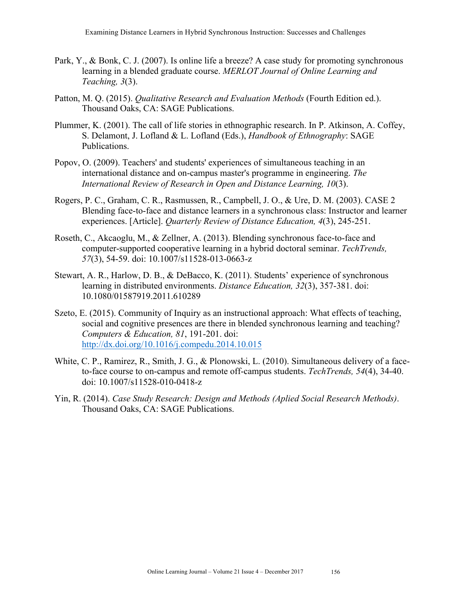- Park, Y., & Bonk, C. J. (2007). Is online life a breeze? A case study for promoting synchronous learning in a blended graduate course. *MERLOT Journal of Online Learning and Teaching, 3*(3).
- Patton, M. Q. (2015). *Qualitative Research and Evaluation Methods* (Fourth Edition ed.). Thousand Oaks, CA: SAGE Publications.
- Plummer, K. (2001). The call of life stories in ethnographic research. In P. Atkinson, A. Coffey, S. Delamont, J. Lofland & L. Lofland (Eds.), *Handbook of Ethnography*: SAGE Publications.
- Popov, O. (2009). Teachers' and students' experiences of simultaneous teaching in an international distance and on-campus master's programme in engineering. *The International Review of Research in Open and Distance Learning, 10*(3).
- Rogers, P. C., Graham, C. R., Rasmussen, R., Campbell, J. O., & Ure, D. M. (2003). CASE 2 Blending face-to-face and distance learners in a synchronous class: Instructor and learner experiences. [Article]. *Quarterly Review of Distance Education, 4*(3), 245-251.
- Roseth, C., Akcaoglu, M., & Zellner, A. (2013). Blending synchronous face-to-face and computer-supported cooperative learning in a hybrid doctoral seminar. *TechTrends, 57*(3), 54-59. doi: 10.1007/s11528-013-0663-z
- Stewart, A. R., Harlow, D. B., & DeBacco, K. (2011). Students' experience of synchronous learning in distributed environments. *Distance Education, 32*(3), 357-381. doi: 10.1080/01587919.2011.610289
- Szeto, E. (2015). Community of Inquiry as an instructional approach: What effects of teaching, social and cognitive presences are there in blended synchronous learning and teaching? *Computers & Education, 81*, 191-201. doi: http://dx.doi.org/10.1016/j.compedu.2014.10.015
- White, C. P., Ramirez, R., Smith, J. G., & Plonowski, L. (2010). Simultaneous delivery of a faceto-face course to on-campus and remote off-campus students. *TechTrends, 54*(4), 34-40. doi: 10.1007/s11528-010-0418-z
- Yin, R. (2014). *Case Study Research: Design and Methods (Aplied Social Research Methods)*. Thousand Oaks, CA: SAGE Publications.